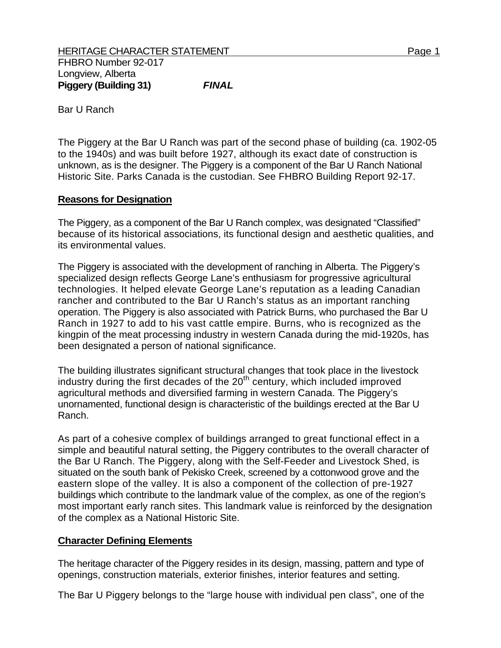Bar U Ranch

The Piggery at the Bar U Ranch was part of the second phase of building (ca. 1902-05 to the 1940s) and was built before 1927, although its exact date of construction is unknown, as is the designer. The Piggery is a component of the Bar U Ranch National Historic Site. Parks Canada is the custodian. See FHBRO Building Report 92-17.

## **Reasons for Designation**

The Piggery, as a component of the Bar U Ranch complex, was designated "Classified" because of its historical associations, its functional design and aesthetic qualities, and its environmental values.

The Piggery is associated with the development of ranching in Alberta. The Piggery's specialized design reflects George Lane's enthusiasm for progressive agricultural technologies. It helped elevate George Lane's reputation as a leading Canadian rancher and contributed to the Bar U Ranch's status as an important ranching operation. The Piggery is also associated with Patrick Burns, who purchased the Bar U Ranch in 1927 to add to his vast cattle empire. Burns, who is recognized as the kingpin of the meat processing industry in western Canada during the mid-1920s, has been designated a person of national significance.

The building illustrates significant structural changes that took place in the livestock industry during the first decades of the  $20<sup>th</sup>$  century, which included improved agricultural methods and diversified farming in western Canada. The Piggery's unornamented, functional design is characteristic of the buildings erected at the Bar U Ranch.

As part of a cohesive complex of buildings arranged to great functional effect in a simple and beautiful natural setting, the Piggery contributes to the overall character of the Bar U Ranch. The Piggery, along with the Self-Feeder and Livestock Shed, is situated on the south bank of Pekisko Creek, screened by a cottonwood grove and the eastern slope of the valley. It is also a component of the collection of pre-1927 buildings which contribute to the landmark value of the complex, as one of the region's most important early ranch sites. This landmark value is reinforced by the designation of the complex as a National Historic Site.

## **Character Defining Elements**

The heritage character of the Piggery resides in its design, massing, pattern and type of openings, construction materials, exterior finishes, interior features and setting.

The Bar U Piggery belongs to the "large house with individual pen class", one of the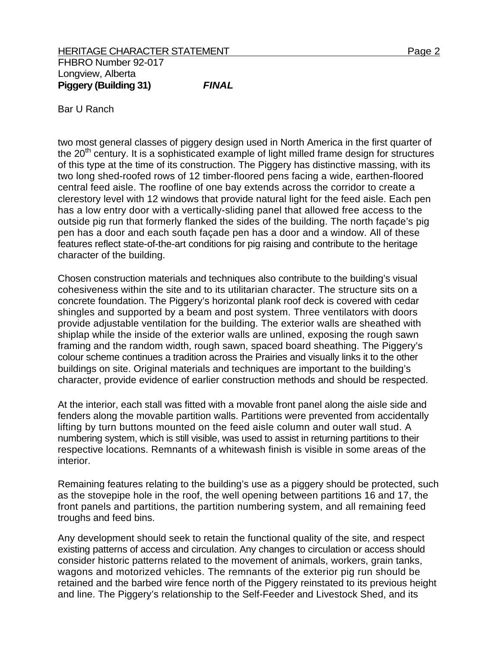Bar U Ranch

two most general classes of piggery design used in North America in the first quarter of the  $20<sup>th</sup>$  century. It is a sophisticated example of light milled frame design for structures of this type at the time of its construction. The Piggery has distinctive massing, with its two long shed-roofed rows of 12 timber-floored pens facing a wide, earthen-floored central feed aisle. The roofline of one bay extends across the corridor to create a clerestory level with 12 windows that provide natural light for the feed aisle. Each pen has a low entry door with a vertically-sliding panel that allowed free access to the outside pig run that formerly flanked the sides of the building. The north façade's pig pen has a door and each south façade pen has a door and a window. All of these features reflect state-of-the-art conditions for pig raising and contribute to the heritage character of the building.

Chosen construction materials and techniques also contribute to the building's visual cohesiveness within the site and to its utilitarian character. The structure sits on a concrete foundation. The Piggery's horizontal plank roof deck is covered with cedar shingles and supported by a beam and post system. Three ventilators with doors provide adjustable ventilation for the building. The exterior walls are sheathed with shiplap while the inside of the exterior walls are unlined, exposing the rough sawn framing and the random width, rough sawn, spaced board sheathing. The Piggery's colour scheme continues a tradition across the Prairies and visually links it to the other buildings on site. Original materials and techniques are important to the building's character, provide evidence of earlier construction methods and should be respected.

At the interior, each stall was fitted with a movable front panel along the aisle side and fenders along the movable partition walls. Partitions were prevented from accidentally lifting by turn buttons mounted on the feed aisle column and outer wall stud. A numbering system, which is still visible, was used to assist in returning partitions to their respective locations. Remnants of a whitewash finish is visible in some areas of the interior.

Remaining features relating to the building's use as a piggery should be protected, such as the stovepipe hole in the roof, the well opening between partitions 16 and 17, the front panels and partitions, the partition numbering system, and all remaining feed troughs and feed bins.

Any development should seek to retain the functional quality of the site, and respect existing patterns of access and circulation. Any changes to circulation or access should consider historic patterns related to the movement of animals, workers, grain tanks, wagons and motorized vehicles. The remnants of the exterior pig run should be retained and the barbed wire fence north of the Piggery reinstated to its previous height and line. The Piggery's relationship to the Self-Feeder and Livestock Shed, and its